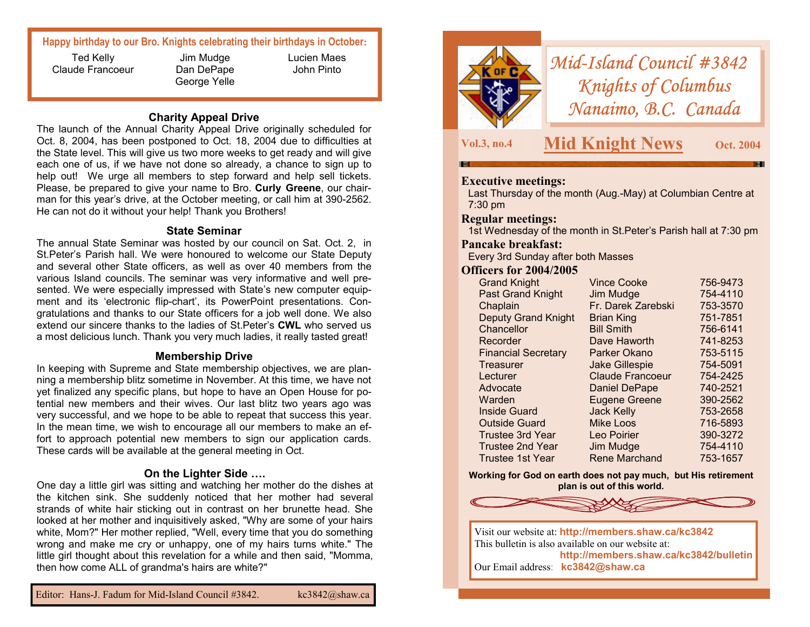## **Happy birthday to our Bro. Knights celebrating their birthdays in October:**

Ted Kelly Claude Francoeur

Jim Mudge Dan DePape George Yelle Lucien Maes John Pinto

### **Charity Appeal Drive**

The launch of the Annual Charity Appeal Drive originally scheduled for Oct. 8, 2004, has been postponed to Oct. 18, 2004 due to difficulties at the State level. This will give us two more weeks to get ready and will give each one of us, if we have not done so already, a chance to sign up to help out! We urge all members to step forward and help sell tickets. Please, be prepared to give your name to Bro. **Curly Greene**, our chairman for this year's drive, at the October meeting, or call him at 390-2562. He can not do it without your help! Thank you Brothers!

#### **State Seminar**

The annual State Seminar was hosted by our council on Sat. Oct. 2, in St.Peter's Parish hall. We were honoured to welcome our State Deputy and several other State officers, as well as over 40 members from the various Island councils. The seminar was very informative and well presented. We were especially impressed with State's new computer equipment and its 'electronic flip-chart', its PowerPoint presentations. Congratulations and thanks to our State officers for a job well done. We also extend our sincere thanks to the ladies of St.Peter's **CWL** who served us a most delicious lunch. Thank you very much ladies, it really tasted great!

#### **Membership Drive**

In keeping with Supreme and State membership objectives, we are planning a membership blitz sometime in November. At this time, we have not yet finalized any specific plans, but hope to have an Open House for potential new members and their wives. Our last blitz two years ago was very successful, and we hope to be able to repeat that success this year. In the mean time, we wish to encourage all our members to make an effort to approach potential new members to sign our application cards. These cards will be available at the general meeting in Oct.

## **On the Lighter Side ….**

One day a little girl was sitting and watching her mother do the dishes at the kitchen sink. She suddenly noticed that her mother had several strands of white hair sticking out in contrast on her brunette head. She looked at her mother and inquisitively asked, "Why are some of your hairs white, Mom?" Her mother replied, "Well, every time that you do something wrong and make me cry or unhappy, one of my hairs turns white." The little girl thought about this revelation for a while and then said, "Momma, then how come ALL of grandma's hairs are white?"



*Mid-Island Council #3842 Knights of Columbus Nanaimo, B.C. Canada* 

**Vol.3, no.4 Mid Knight News Oct. 2004** 

#### **Executive meetings:**

Last Thursday of the month (Aug.-May) at Columbian Centre at 7:30 pm

#### **Regular meetings:**

1st Wednesday of the month in St.Peter's Parish hall at 7:30 pm

#### **Pancake breakfast:**

Every 3rd Sunday after both Masses

#### **Officers for 2004/2005**

| <b>Grand Knight</b>        | <b>Vince Cooke</b>      | 756-9473 |
|----------------------------|-------------------------|----------|
| <b>Past Grand Knight</b>   | Jim Mudge               | 754-4110 |
| Chaplain                   | Fr. Darek Zarebski      | 753-3570 |
| <b>Deputy Grand Knight</b> | <b>Brian King</b>       | 751-7851 |
| Chancellor                 | <b>Bill Smith</b>       | 756-6141 |
| Recorder                   | Dave Haworth            | 741-8253 |
| <b>Financial Secretary</b> | Parker Okano            | 753-5115 |
| Treasurer                  | <b>Jake Gillespie</b>   | 754-5091 |
| Lecturer                   | <b>Claude Francoeur</b> | 754-2425 |
| Advocate                   | <b>Daniel DePape</b>    | 740-2521 |
| Warden                     | <b>Eugene Greene</b>    | 390-2562 |
| <b>Inside Guard</b>        | <b>Jack Kelly</b>       | 753-2658 |
| <b>Outside Guard</b>       | <b>Mike Loos</b>        | 716-5893 |
| <b>Trustee 3rd Year</b>    | Leo Poirier             | 390-3272 |
| <b>Trustee 2nd Year</b>    | Jim Mudge               | 754-4110 |
| Trustee 1st Year           | Rene Marchand           | 753-1657 |

**Working for God on earth does not pay much, but His retirement plan is out of this world.**